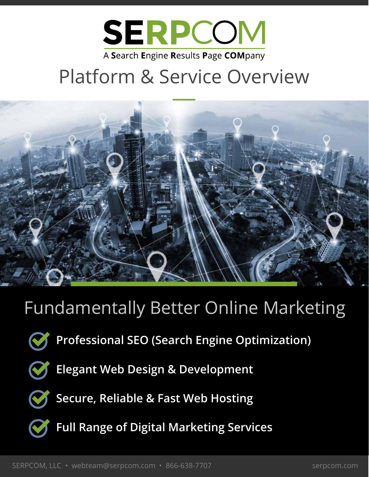

## Platform & Service Overview



## Fundamentally Better Online Marketing



**Professional SEO (Search Engine Optimization)**



**Elegant Web Design & Development**



**Secure, Reliable & Fast Web Hosting**



**Full Range of Digital Marketing Services**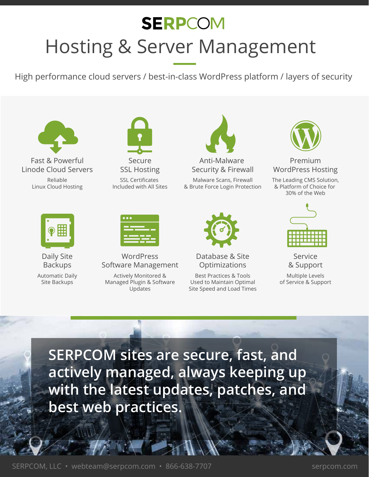## **SERPCOM** Hosting & Server Management

High performance cloud servers / best-in-class WordPress platform / layers of security



Fast & Powerful Linode Cloud Servers Reliable Linux Cloud Hosting



Anti-Malware Security & Firewall Malware Scans, Firewall & Brute Force Login Protection



Database & Site **Optimizations** 

Best Practices & Tools Used to Maintain Optimal Site Speed and Load Times



Premium WordPress Hosting

The Leading CMS Solution, & Platform of Choice for 30% of the Web



Service & Support

Multiple Levels of Service & Support



Daily Site Backups

Automatic Daily Site Backups



**WordPress** Software Management

Actively Monitored & Managed Plugin & Software Updates



**SERPCOM sites are secure, fast, and actively managed, always keeping up with the latest updates, patches, and best web practices.**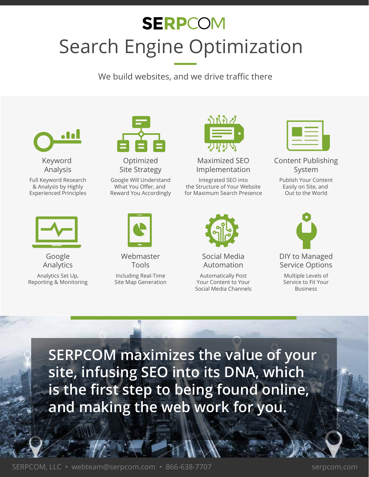## **SERPCOM** Search Engine Optimization

We build websites, and we drive traffic there



Keyword Analysis

Full Keyword Research & Analysis by Highly Experienced Principles



Google Analytics

Analytics Set Up, Reporting & Monitoring



Optimized Site Strategy

Google Will Understand What You Offer, and Reward You Accordingly



Webmaster Tools

Including Real-Time Site Map Generation



Maximized SEO Implementation

Integrated SEO into the Structure of Your Website for Maximum Search Presence



Social Media Automation

Automatically Post Your Content to Your Social Media Channels



Content Publishing System

Publish Your Content Easily on Site, and Out to the World



Multiple Levels of Service to Fit Your Business

**SERPCOM maximizes the value of your site, infusing SEO into its DNA, which is the first step to being found online, and making the web work for you.**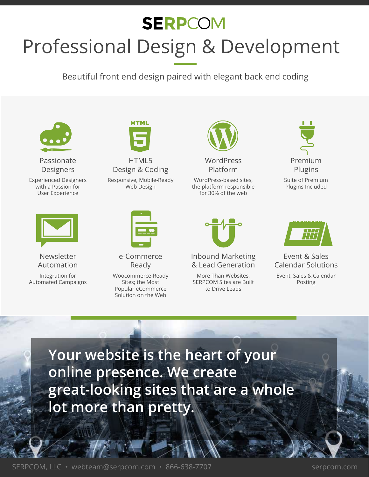# **SERPCOM** Professional Design & Development

Beautiful front end design paired with elegant back end coding



Passionate **Designers** 

Experienced Designers with a Passion for User Experience



Newsletter Automation

Integration for Automated Campaigns



HTML5 Design & Coding Responsive, Mobile-Ready Web Design



e-Commerce Ready

Woocommerce-Ready Sites; the Most Popular eCommerce Solution on the Web



WordPress Platform

WordPress-based sites, the platform responsible for 30% of the web



Inbound Marketing & Lead Generation

More Than Websites, SERPCOM Sites are Built to Drive Leads



Suite of Premium Plugins Included



Event & Sales Calendar Solutions

Event, Sales & Calendar Posting

**Your website is the heart of your online presence. We create great-looking sites that are a whole lot more than pretty.**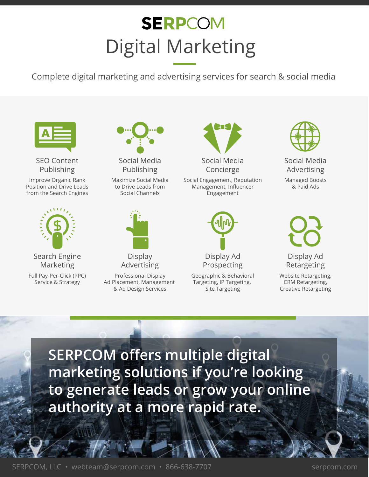## **SERPCOM** Digital Marketing

Complete digital marketing and advertising services for search & social media



SEO Content Publishing

Improve Organic Rank Position and Drive Leads from the Search Engines



Search Engine Marketing

Full Pay-Per-Click (PPC) Service & Strategy



Social Media Publishing

Maximize Social Media to Drive Leads from Social Channels



**Display** Advertising

Professional Display Ad Placement, Management & Ad Design Services



Social Engagement, Reputation Management, Influencer Engagement



Geographic & Behavioral Targeting, IP Targeting, Site Targeting



Social Media Advertising

Managed Boosts & Paid Ads

Display Ad Retargeting

Website Retargeting, CRM Retargeting, Creative Retargeting

**SERPCOM offers multiple digital marketing solutions if you're looking to generate leads or grow your online authority at a more rapid rate.**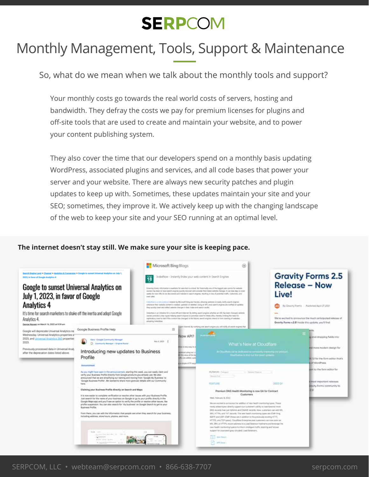### Monthly Management, Tools, Support & Maintenance

So, what do we mean when we talk about the monthly tools and support?

Your monthly costs go towards the real world costs of servers, hosting and bandwidth. They defray the costs we pay for premium licenses for plugins and off-site tools that are used to create and maintain your website, and to power your content publishing system.

They also cover the time that our developers spend on a monthly basis updating WordPress, associated plugins and services, and all code bases that power your server and your website. There are always new security patches and plugin updates to keep up with. Sometimes, these updates maintain your site and your SEO; sometimes, they improve it. We actively keep up with the changing landscape of the web to keep your site and your SEO running at an optimal level.

#### **The internet doesn't stay still. We make sure your site is keeping pace.**

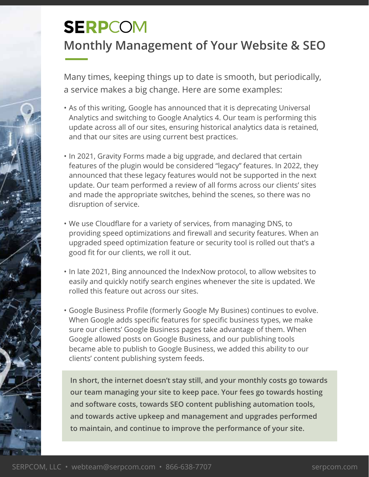### **Monthly Management of Your Website & SEO**

Many times, keeping things up to date is smooth, but periodically, a service makes a big change. Here are some examples:

- As of this writing, Google has announced that it is deprecating Universal Analytics and switching to Google Analytics 4. Our team is performing this update across all of our sites, ensuring historical analytics data is retained, and that our sites are using current best practices.
- In 2021, Gravity Forms made a big upgrade, and declared that certain features of the plugin would be considered "legacy" features. In 2022, they announced that these legacy features would not be supported in the next update. Our team performed a review of all forms across our clients' sites and made the appropriate switches, behind the scenes, so there was no disruption of service.
- We use Cloudflare for a variety of services, from managing DNS, to providing speed optimizations and firewall and security features. When an upgraded speed optimization feature or security tool is rolled out that's a good fit for our clients, we roll it out.
- In late 2021, Bing announced the IndexNow protocol, to allow websites to easily and quickly notify search engines whenever the site is updated. We rolled this feature out across our sites.
- Google Business Profile (formerly Google My Busines) continues to evolve. When Google adds specific features for specific business types, we make sure our clients' Google Business pages take advantage of them. When Google allowed posts on Google Business, and our publishing tools became able to publish to Google Business, we added this ability to our clients' content publishing system feeds.

**In short, the internet doesn't stay still, and your monthly costs go towards our team managing your site to keep pace. Your fees go towards hosting and software costs, towards SEO content publishing automation tools, and towards active upkeep and management and upgrades performed to maintain, and continue to improve the performance of your site.**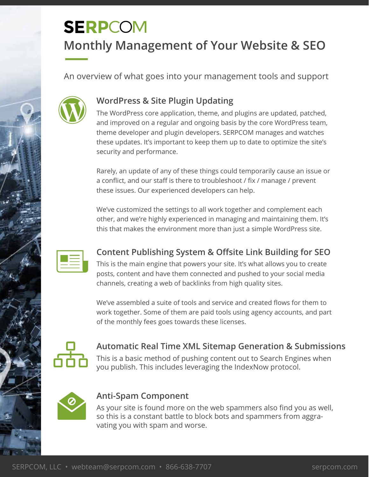### **Monthly Management of Your Website & SEO**

An overview of what goes into your management tools and support



#### **WordPress & Site Plugin Updating**

The WordPress core application, theme, and plugins are updated, patched, and improved on a regular and ongoing basis by the core WordPress team, theme developer and plugin developers. SERPCOM manages and watches these updates. It's important to keep them up to date to optimize the site's security and performance.

Rarely, an update of any of these things could temporarily cause an issue or a conflict, and our staff is there to troubleshoot / fix / manage / prevent these issues. Our experienced developers can help.

We've customized the settings to all work together and complement each other, and we're highly experienced in managing and maintaining them. It's this that makes the environment more than just a simple WordPress site.



### **Content Publishing System & Offsite Link Building for SEO**

This is the main engine that powers your site. It's what allows you to create posts, content and have them connected and pushed to your social media channels, creating a web of backlinks from high quality sites.

We've assembled a suite of tools and service and created flows for them to work together. Some of them are paid tools using agency accounts, and part of the monthly fees goes towards these licenses.



**Automatic Real Time XML Sitemap Generation & Submissions** This is a basic method of pushing content out to Search Engines when you publish. This includes leveraging the IndexNow protocol.



#### **Anti-Spam Component**

As your site is found more on the web spammers also find you as well, so this is a constant battle to block bots and spammers from aggravating you with spam and worse.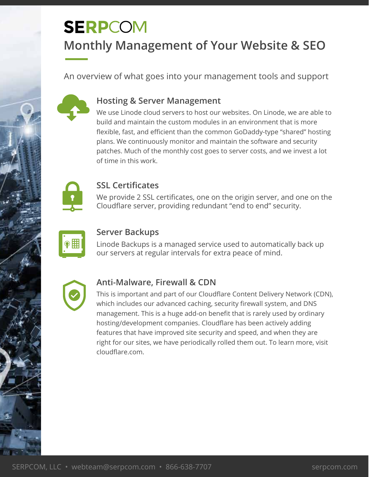### **Monthly Management of Your Website & SEO**

An overview of what goes into your management tools and support



#### **Hosting & Server Management**

We use Linode cloud servers to host our websites. On Linode, we are able to build and maintain the custom modules in an environment that is more flexible, fast, and efficient than the common GoDaddy-type "shared" hosting plans. We continuously monitor and maintain the software and security patches. Much of the monthly cost goes to server costs, and we invest a lot of time in this work.



#### **SSL Certificates**

We provide 2 SSL certificates, one on the origin server, and one on the Cloudflare server, providing redundant "end to end" security.



#### **Server Backups**

Linode Backups is a managed service used to automatically back up our servers at regular intervals for extra peace of mind.



#### **Anti-Malware, Firewall & CDN**

This is important and part of our Cloudflare Content Delivery Network (CDN), which includes our advanced caching, security firewall system, and DNS management. This is a huge add-on benefit that is rarely used by ordinary hosting/development companies. Cloudflare has been actively adding features that have improved site security and speed, and when they are right for our sites, we have periodically rolled them out. To learn more, visit cloudflare.com.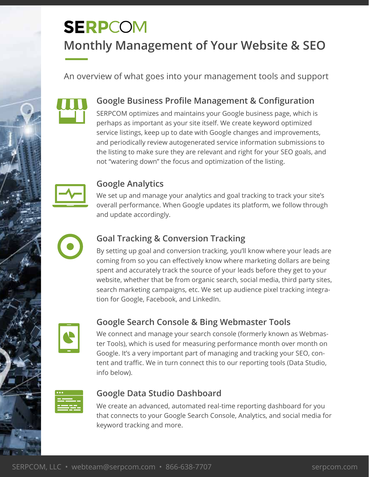## **SERPCOM Monthly Management of Your Website & SEO**

An overview of what goes into your management tools and support



#### **Google Business Profile Management & Configuration**

SERPCOM optimizes and maintains your Google business page, which is perhaps as important as your site itself. We create keyword optimized service listings, keep up to date with Google changes and improvements, and periodically review autogenerated service information submissions to the listing to make sure they are relevant and right for your SEO goals, and not "watering down" the focus and optimization of the listing.



#### **Google Analytics**

We set up and manage your analytics and goal tracking to track your site's overall performance. When Google updates its platform, we follow through and update accordingly.



#### **Goal Tracking & Conversion Tracking**

By setting up goal and conversion tracking, you'll know where your leads are coming from so you can effectively know where marketing dollars are being spent and accurately track the source of your leads before they get to your website, whether that be from organic search, social media, third party sites, search marketing campaigns, etc. We set up audience pixel tracking integration for Google, Facebook, and LinkedIn.



#### **Google Search Console & Bing Webmaster Tools**

We connect and manage your search console (formerly known as Webmaster Tools), which is used for measuring performance month over month on Google. It's a very important part of managing and tracking your SEO, content and traffic. We in turn connect this to our reporting tools (Data Studio, info below).



#### **Google Data Studio Dashboard**

We create an advanced, automated real-time reporting dashboard for you that connects to your Google Search Console, Analytics, and social media for keyword tracking and more.